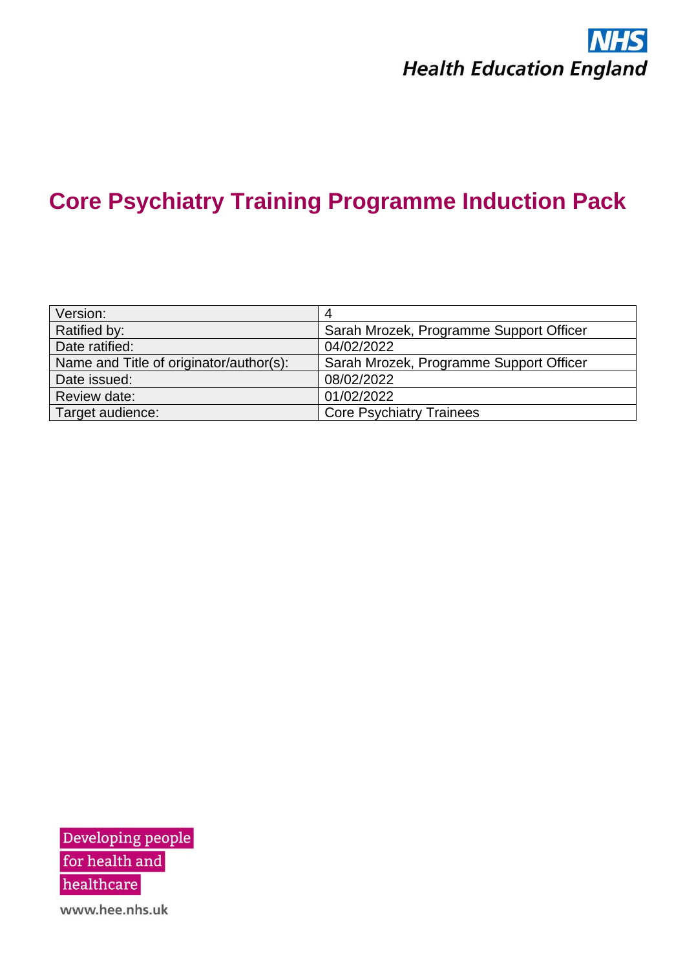

| Version:                                |                                         |
|-----------------------------------------|-----------------------------------------|
| Ratified by:                            | Sarah Mrozek, Programme Support Officer |
| Date ratified:                          | 04/02/2022                              |
| Name and Title of originator/author(s): | Sarah Mrozek, Programme Support Officer |
| Date issued:                            | 08/02/2022                              |
| Review date:                            | 01/02/2022                              |
| Target audience:                        | <b>Core Psychiatry Trainees</b>         |

Developing people for health and  $\,$ healthcare www.hee.nhs.uk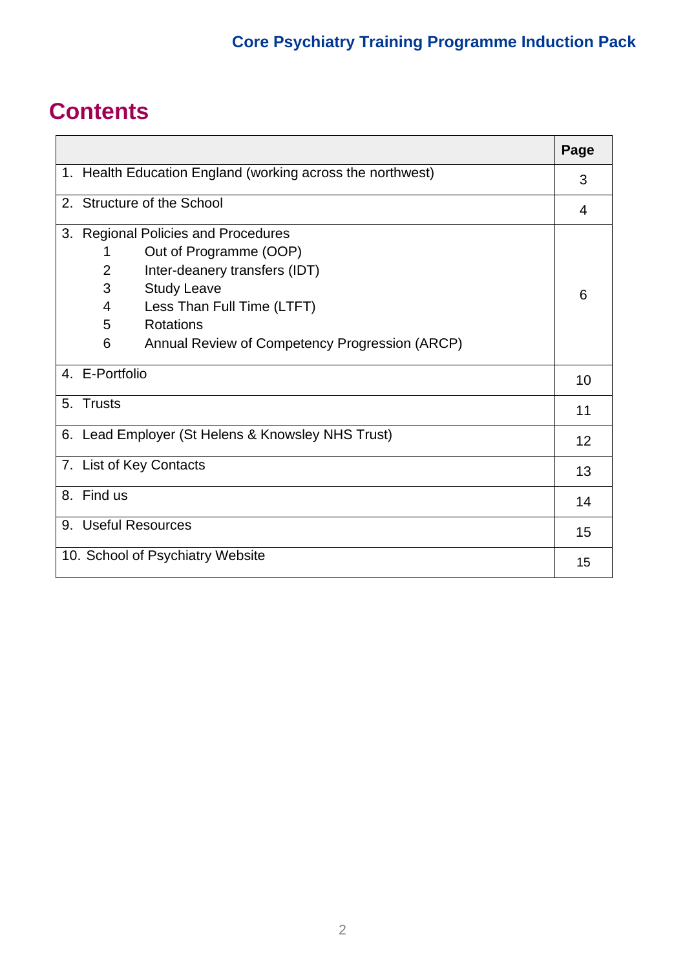# **Contents**

|                                                   |                                                            | Page |
|---------------------------------------------------|------------------------------------------------------------|------|
|                                                   | 1. Health Education England (working across the northwest) |      |
|                                                   | 2. Structure of the School                                 | 4    |
| 3.                                                | <b>Regional Policies and Procedures</b>                    |      |
|                                                   | Out of Programme (OOP)<br>1                                |      |
|                                                   | 2<br>Inter-deanery transfers (IDT)                         |      |
|                                                   | 3<br><b>Study Leave</b>                                    | 6    |
|                                                   | Less Than Full Time (LTFT)<br>4                            |      |
|                                                   | <b>Rotations</b><br>5                                      |      |
|                                                   | Annual Review of Competency Progression (ARCP)<br>6        |      |
|                                                   | 4. E-Portfolio                                             | 10   |
|                                                   | 5. Trusts                                                  | 11   |
| 6. Lead Employer (St Helens & Knowsley NHS Trust) |                                                            | 12   |
| 7. List of Key Contacts                           |                                                            | 13   |
|                                                   | 8. Find us                                                 | 14   |
|                                                   | 9. Useful Resources                                        | 15   |
|                                                   | 10. School of Psychiatry Website                           | 15   |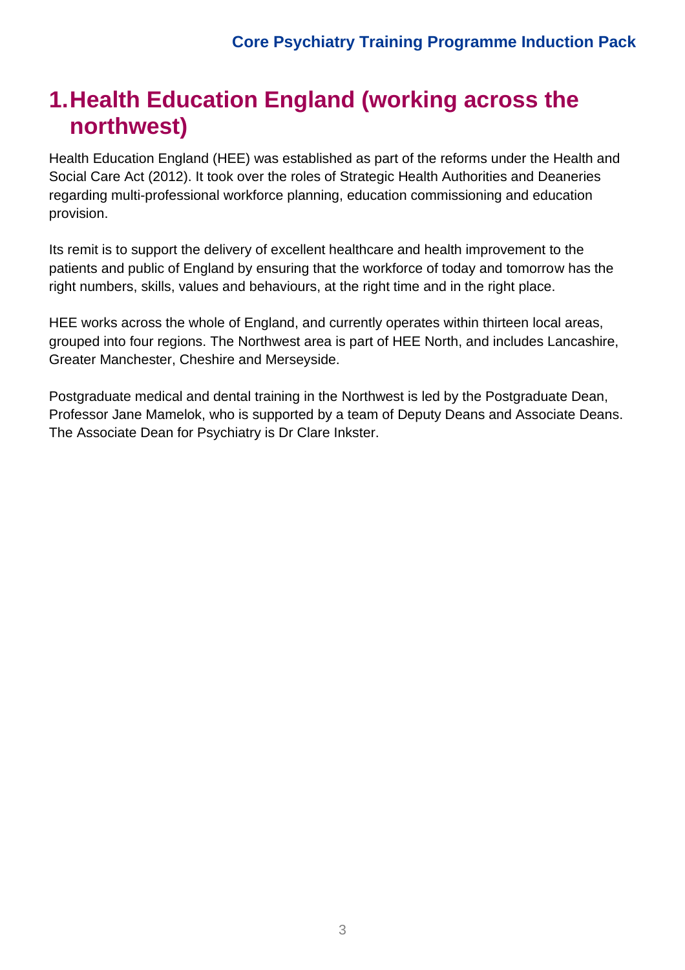# **1.Health Education England (working across the northwest)**

Health Education England (HEE) was established as part of the reforms under the Health and Social Care Act (2012). It took over the roles of Strategic Health Authorities and Deaneries regarding multi-professional workforce planning, education commissioning and education provision.

Its remit is to support the delivery of excellent healthcare and health improvement to the patients and public of England by ensuring that the workforce of today and tomorrow has the right numbers, skills, values and behaviours, at the right time and in the right place.

HEE works across the whole of England, and currently operates within thirteen local areas, grouped into four regions. The Northwest area is part of HEE North, and includes Lancashire, Greater Manchester, Cheshire and Merseyside.

Postgraduate medical and dental training in the Northwest is led by the Postgraduate Dean, Professor Jane Mamelok, who is supported by a team of Deputy Deans and Associate Deans. The Associate Dean for Psychiatry is Dr Clare Inkster.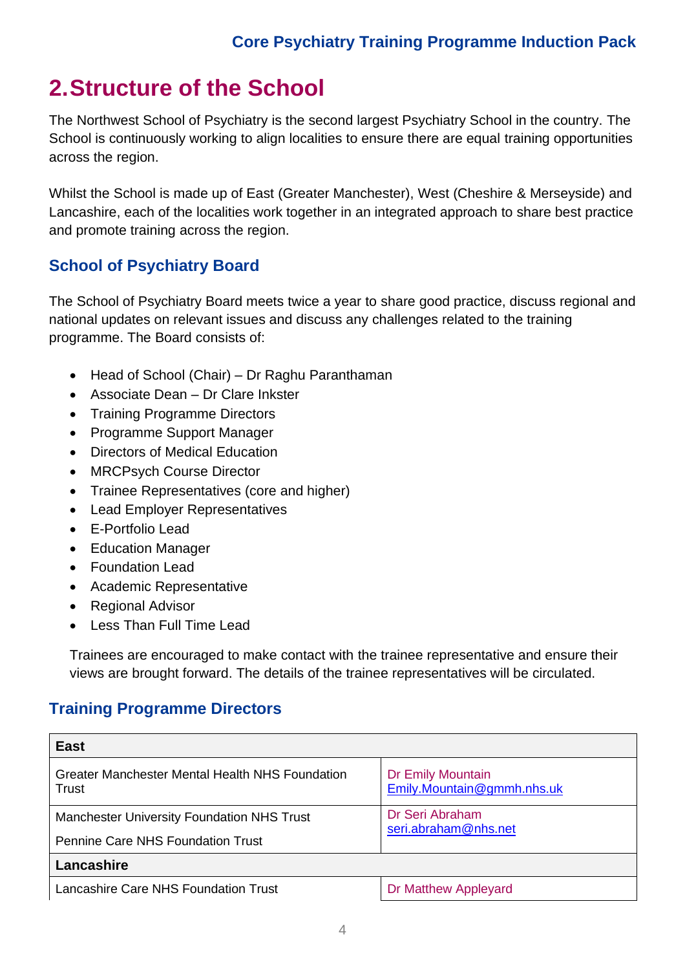# **2.Structure of the School**

The Northwest School of Psychiatry is the second largest Psychiatry School in the country. The School is continuously working to align localities to ensure there are equal training opportunities across the region.

Whilst the School is made up of East (Greater Manchester), West (Cheshire & Merseyside) and Lancashire, each of the localities work together in an integrated approach to share best practice and promote training across the region.

## **School of Psychiatry Board**

The School of Psychiatry Board meets twice a year to share good practice, discuss regional and national updates on relevant issues and discuss any challenges related to the training programme. The Board consists of:

- Head of School (Chair) Dr Raghu Paranthaman
- Associate Dean Dr Clare Inkster
- Training Programme Directors
- Programme Support Manager
- Directors of Medical Education
- MRCPsych Course Director
- Trainee Representatives (core and higher)
- Lead Employer Representatives
- E-Portfolio Lead
- Education Manager
- Foundation Lead
- Academic Representative
- Regional Advisor
- Less Than Full Time Lead

Trainees are encouraged to make contact with the trainee representative and ensure their views are brought forward. The details of the trainee representatives will be circulated.

## **Training Programme Directors**

| <b>East</b>                                              |                                                 |  |
|----------------------------------------------------------|-------------------------------------------------|--|
| Greater Manchester Mental Health NHS Foundation<br>Trust | Dr Emily Mountain<br>Emily.Mountain@gmmh.nhs.uk |  |
| <b>Manchester University Foundation NHS Trust</b>        | Dr Seri Abraham<br>seri.abraham@nhs.net         |  |
| <b>Pennine Care NHS Foundation Trust</b>                 |                                                 |  |
| Lancashire                                               |                                                 |  |
| Lancashire Care NHS Foundation Trust                     | Dr Matthew Appleyard                            |  |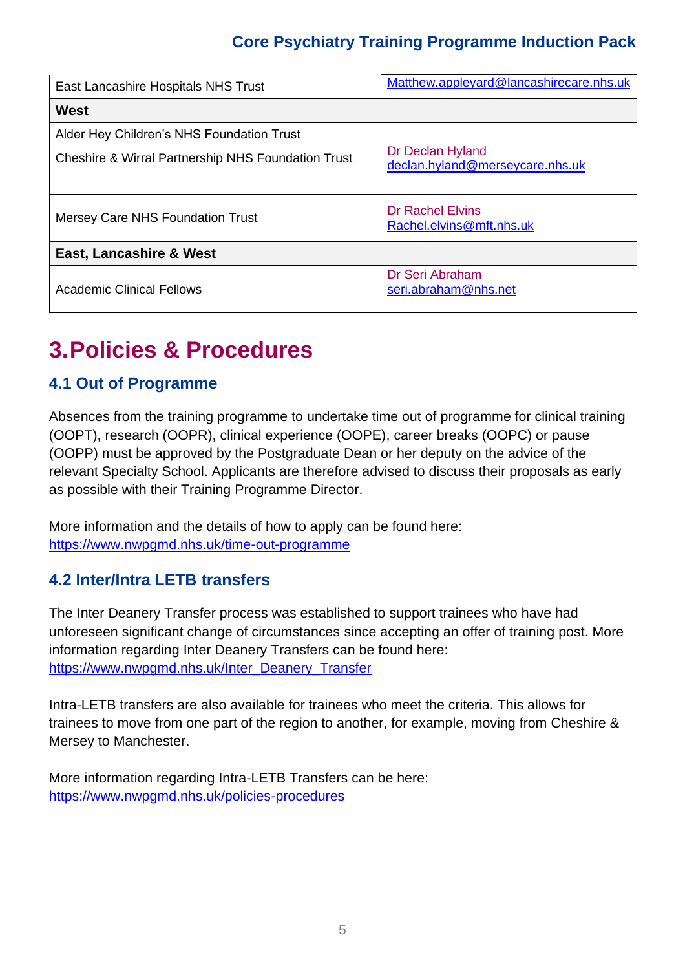| East Lancashire Hospitals NHS Trust                                                                        | Matthew.appleyard@lancashirecare.nhs.uk             |  |
|------------------------------------------------------------------------------------------------------------|-----------------------------------------------------|--|
| <b>West</b>                                                                                                |                                                     |  |
| Alder Hey Children's NHS Foundation Trust<br><b>Cheshire &amp; Wirral Partnership NHS Foundation Trust</b> | Dr Declan Hyland<br>declan.hyland@merseycare.nhs.uk |  |
| <b>Mersey Care NHS Foundation Trust</b>                                                                    | <b>Dr Rachel Elvins</b><br>Rachel.elvins@mft.nhs.uk |  |
| East, Lancashire & West                                                                                    |                                                     |  |
| <b>Academic Clinical Fellows</b>                                                                           | Dr Seri Abraham<br>seri.abraham@nhs.net             |  |

# **3.Policies & Procedures**

## **4.1 Out of Programme**

Absences from the training programme to undertake time out of programme for clinical training (OOPT), research (OOPR), clinical experience (OOPE), career breaks (OOPC) or pause (OOPP) must be approved by the Postgraduate Dean or her deputy on the advice of the relevant Specialty School. Applicants are therefore advised to discuss their proposals as early as possible with their Training Programme Director.

More information and the details of how to apply can be found here: <https://www.nwpgmd.nhs.uk/time-out-programme>

## **4.2 Inter/Intra LETB transfers**

The Inter Deanery Transfer process was established to support trainees who have had unforeseen significant change of circumstances since accepting an offer of training post. More information regarding Inter Deanery Transfers can be found here: [https://www.nwpgmd.nhs.uk/Inter\\_Deanery\\_Transfer](https://www.nwpgmd.nhs.uk/Inter_Deanery_Transfer)

Intra-LETB transfers are also available for trainees who meet the criteria. This allows for trainees to move from one part of the region to another, for example, moving from Cheshire & Mersey to Manchester.

More information regarding Intra-LETB Transfers can be here: <https://www.nwpgmd.nhs.uk/policies-procedures>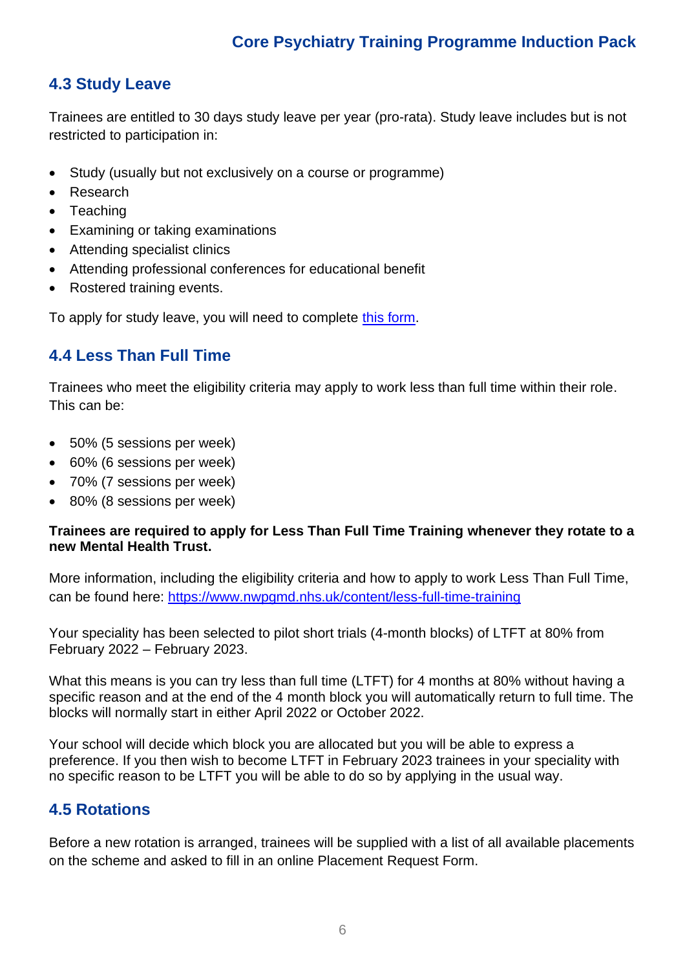## **4.3 Study Leave**

Trainees are entitled to 30 days study leave per year (pro-rata). Study leave includes but is not restricted to participation in:

- Study (usually but not exclusively on a course or programme)
- Research
- Teaching
- Examining or taking examinations
- Attending specialist clinics
- Attending professional conferences for educational benefit
- Rostered training events.

To apply for study leave, you will need to complete [this form.](https://schoolofpsychiatry.net/trainees/study-leave-requests-2/)

## **4.4 Less Than Full Time**

Trainees who meet the eligibility criteria may apply to work less than full time within their role. This can be:

- 50% (5 sessions per week)
- 60% (6 sessions per week)
- 70% (7 sessions per week)
- 80% (8 sessions per week)

#### **Trainees are required to apply for Less Than Full Time Training whenever they rotate to a new Mental Health Trust.**

More information, including the eligibility criteria and how to apply to work Less Than Full Time, can be found here:<https://www.nwpgmd.nhs.uk/content/less-full-time-training>

Your speciality has been selected to pilot short trials (4-month blocks) of LTFT at 80% from February 2022 – February 2023.

What this means is you can try less than full time (LTFT) for 4 months at 80% without having a specific reason and at the end of the 4 month block you will automatically return to full time. The blocks will normally start in either April 2022 or October 2022.

Your school will decide which block you are allocated but you will be able to express a preference. If you then wish to become LTFT in February 2023 trainees in your speciality with no specific reason to be LTFT you will be able to do so by applying in the usual way.

### **4.5 Rotations**

Before a new rotation is arranged, trainees will be supplied with a list of all available placements on the scheme and asked to fill in an online Placement Request Form.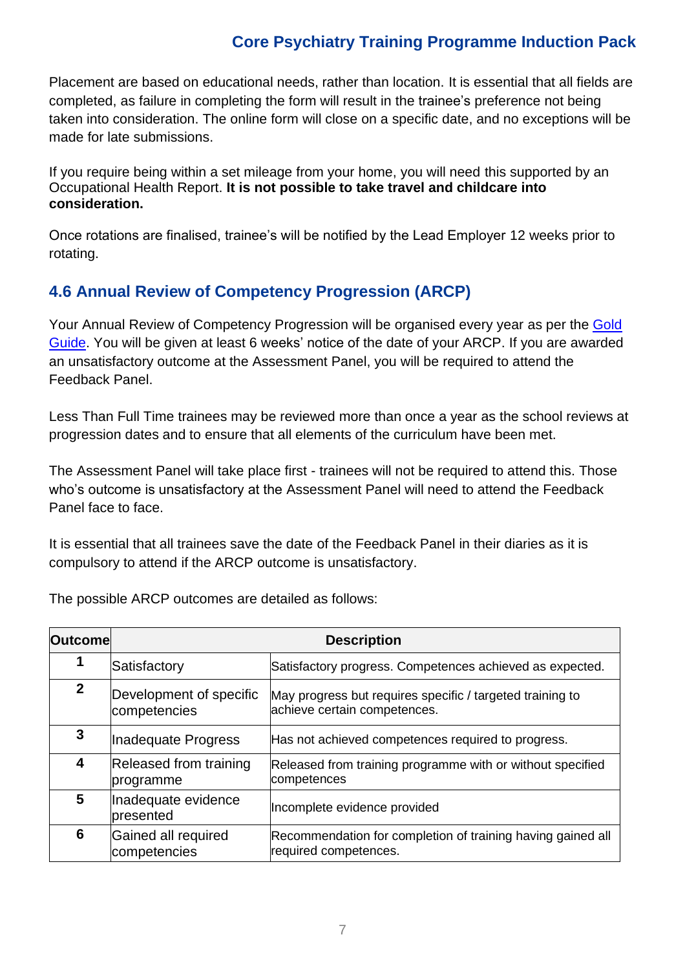Placement are based on educational needs, rather than location. It is essential that all fields are completed, as failure in completing the form will result in the trainee's preference not being taken into consideration. The online form will close on a specific date, and no exceptions will be made for late submissions.

If you require being within a set mileage from your home, you will need this supported by an Occupational Health Report. **It is not possible to take travel and childcare into consideration.**

Once rotations are finalised, trainee's will be notified by the Lead Employer 12 weeks prior to rotating.

## **4.6 Annual Review of Competency Progression (ARCP)**

Your Annual Review of Competency Progression will be organised every year as per the [Gold](https://www.nwpgmd.nhs.uk/sites/default/files/The_Gold_Guide_7th_Edition_January__2018.pdf)  [Guide.](https://www.nwpgmd.nhs.uk/sites/default/files/The_Gold_Guide_7th_Edition_January__2018.pdf) You will be given at least 6 weeks' notice of the date of your ARCP. If you are awarded an unsatisfactory outcome at the Assessment Panel, you will be required to attend the Feedback Panel.

Less Than Full Time trainees may be reviewed more than once a year as the school reviews at progression dates and to ensure that all elements of the curriculum have been met.

The Assessment Panel will take place first - trainees will not be required to attend this. Those who's outcome is unsatisfactory at the Assessment Panel will need to attend the Feedback Panel face to face.

It is essential that all trainees save the date of the Feedback Panel in their diaries as it is compulsory to attend if the ARCP outcome is unsatisfactory.

| <b>Outcomel</b> | <b>Description</b>                      |                                                                                           |  |
|-----------------|-----------------------------------------|-------------------------------------------------------------------------------------------|--|
| 1               | Satisfactory                            | Satisfactory progress. Competences achieved as expected.                                  |  |
| $\mathbf{2}$    | Development of specific<br>competencies | May progress but requires specific / targeted training to<br>achieve certain competences. |  |
| 3               | Inadequate Progress                     | Has not achieved competences required to progress.                                        |  |
| 4               | Released from training<br>programme     | Released from training programme with or without specified<br>competences                 |  |
| 5               | Inadequate evidence<br>presented        | Incomplete evidence provided                                                              |  |
| 6               | Gained all required<br>competencies     | Recommendation for completion of training having gained all<br>required competences.      |  |

The possible ARCP outcomes are detailed as follows: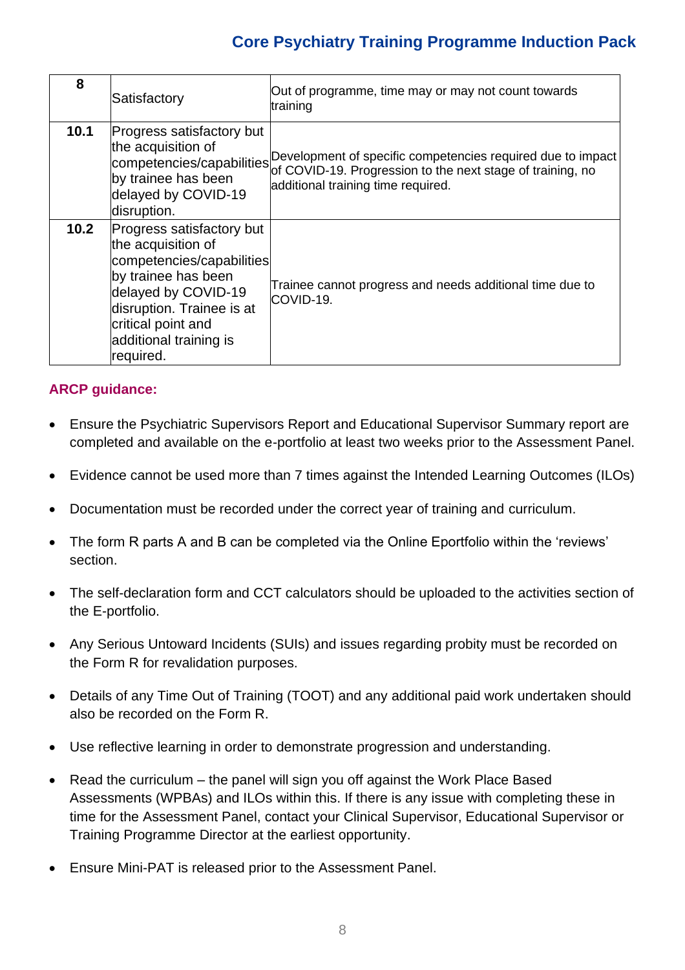| 8    | Satisfactory                                                                                                                                                                                                         | Out of programme, time may or may not count towards<br>training                                                                                                                           |
|------|----------------------------------------------------------------------------------------------------------------------------------------------------------------------------------------------------------------------|-------------------------------------------------------------------------------------------------------------------------------------------------------------------------------------------|
| 10.1 | Progress satisfactory but<br>the acquisition of<br>by trainee has been<br>delayed by COVID-19<br>disruption.                                                                                                         | competencies/capabilities Development of specific competencies required due to impact<br>of COVID-19. Progression to the next stage of training, no<br>additional training time required. |
| 10.2 | Progress satisfactory but<br>the acquisition of<br>competencies/capabilities<br>by trainee has been<br>delayed by COVID-19<br>disruption. Trainee is at<br>critical point and<br>additional training is<br>required. | Trainee cannot progress and needs additional time due to<br>COVID-19.                                                                                                                     |

#### **ARCP guidance:**

- Ensure the Psychiatric Supervisors Report and Educational Supervisor Summary report are completed and available on the e-portfolio at least two weeks prior to the Assessment Panel.
- Evidence cannot be used more than 7 times against the Intended Learning Outcomes (ILOs)
- Documentation must be recorded under the correct year of training and curriculum.
- The form R parts A and B can be completed via the Online Eportfolio within the 'reviews' section.
- The self-declaration form and CCT calculators should be uploaded to the activities section of the E-portfolio.
- Any Serious Untoward Incidents (SUIs) and issues regarding probity must be recorded on the Form R for revalidation purposes.
- Details of any Time Out of Training (TOOT) and any additional paid work undertaken should also be recorded on the Form R.
- Use reflective learning in order to demonstrate progression and understanding.
- Read the curriculum the panel will sign you off against the Work Place Based Assessments (WPBAs) and ILOs within this. If there is any issue with completing these in time for the Assessment Panel, contact your Clinical Supervisor, Educational Supervisor or Training Programme Director at the earliest opportunity.
- Ensure Mini-PAT is released prior to the Assessment Panel.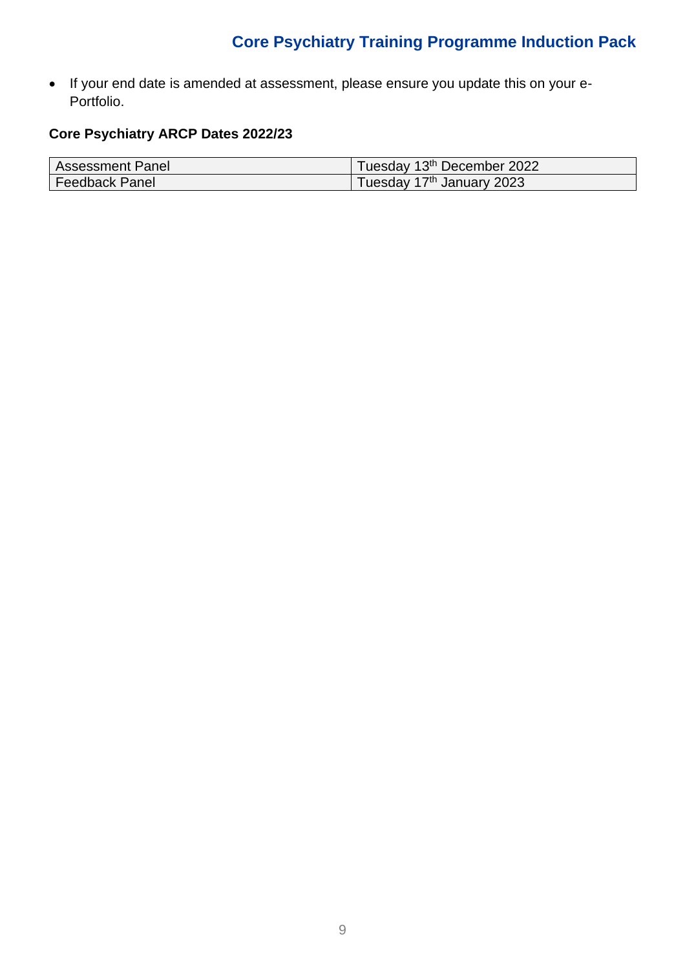• If your end date is amended at assessment, please ensure you update this on your e-Portfolio.

### **Core Psychiatry ARCP Dates 2022/23**

| <b>Assessment Panel</b> | Tuesday 13th December 2022 |
|-------------------------|----------------------------|
| <b>Feedback Panel</b>   | Tuesday 17th January 2023  |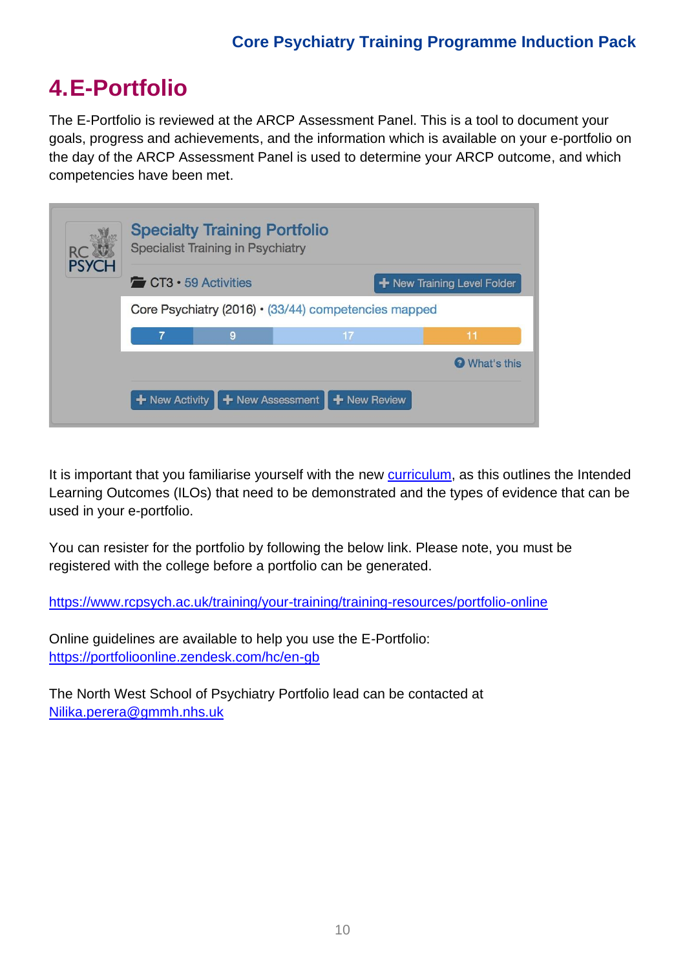# **4.E-Portfolio**

The E-Portfolio is reviewed at the ARCP Assessment Panel. This is a tool to document your goals, progress and achievements, and the information which is available on your e-portfolio on the day of the ARCP Assessment Panel is used to determine your ARCP outcome, and which competencies have been met.

| <b>Specialty Training Portfolio</b><br><b>Specialist Training in Psychiatry</b><br><b>RC</b> |                                                                 |   |                                                                                           |             |
|----------------------------------------------------------------------------------------------|-----------------------------------------------------------------|---|-------------------------------------------------------------------------------------------|-------------|
| <b>PSYCH</b>                                                                                 | $\sim$ CT3 $\cdot$ 59 Activities<br>+ New Training Level Folder |   |                                                                                           |             |
|                                                                                              | Core Psychiatry (2016) · (33/44) competencies mapped            |   |                                                                                           |             |
|                                                                                              | $\overline{7}$                                                  | 9 | 17                                                                                        | 11          |
|                                                                                              |                                                                 |   |                                                                                           | What's this |
|                                                                                              |                                                                 |   | <b>+</b> New Activity $\parallel$ <b>+</b> New Assessment $\parallel$ <b>+</b> New Review |             |

It is important that you familiarise yourself with the new [curriculum,](https://www.rcpsych.ac.uk/training/curricula-and-guidance/curricula-implementation/curricula-2022-transition-timetable?searchTerms=curriculum%20pilot) as this outlines the Intended Learning Outcomes (ILOs) that need to be demonstrated and the types of evidence that can be used in your e-portfolio.

You can resister for the portfolio by following the below link. Please note, you must be registered with the college before a portfolio can be generated.

<https://www.rcpsych.ac.uk/training/your-training/training-resources/portfolio-online>

Online guidelines are available to help you use the E-Portfolio: <https://portfolioonline.zendesk.com/hc/en-gb>

The North West School of Psychiatry Portfolio lead can be contacted at [Nilika.perera@gmmh.nhs.uk](mailto:Nilika.perera@gmmh.nhs.uk)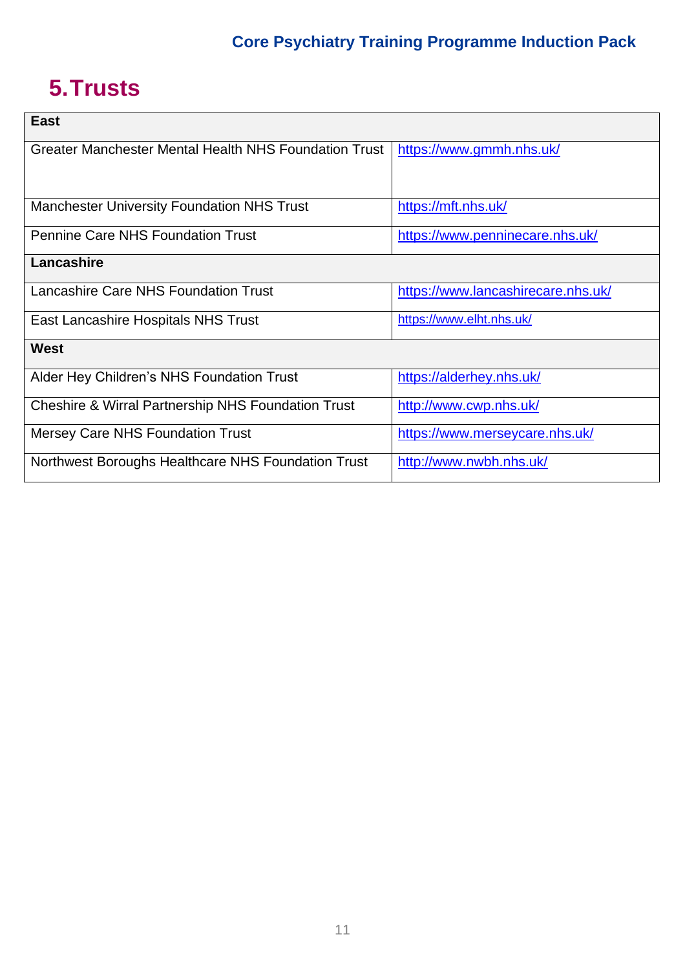# **5.Trusts**

| <b>East</b>                                                   |                                    |
|---------------------------------------------------------------|------------------------------------|
| Greater Manchester Mental Health NHS Foundation Trust         | https://www.gmmh.nhs.uk/           |
|                                                               |                                    |
| <b>Manchester University Foundation NHS Trust</b>             | https://mft.nhs.uk/                |
| <b>Pennine Care NHS Foundation Trust</b>                      | https://www.penninecare.nhs.uk/    |
| Lancashire                                                    |                                    |
| <b>Lancashire Care NHS Foundation Trust</b>                   | https://www.lancashirecare.nhs.uk/ |
| East Lancashire Hospitals NHS Trust                           | https://www.elht.nhs.uk/           |
| West                                                          |                                    |
| Alder Hey Children's NHS Foundation Trust                     | https://alderhey.nhs.uk/           |
| <b>Cheshire &amp; Wirral Partnership NHS Foundation Trust</b> | http://www.cwp.nhs.uk/             |
| <b>Mersey Care NHS Foundation Trust</b>                       | https://www.merseycare.nhs.uk/     |
| Northwest Boroughs Healthcare NHS Foundation Trust            | http://www.nwbh.nhs.uk/            |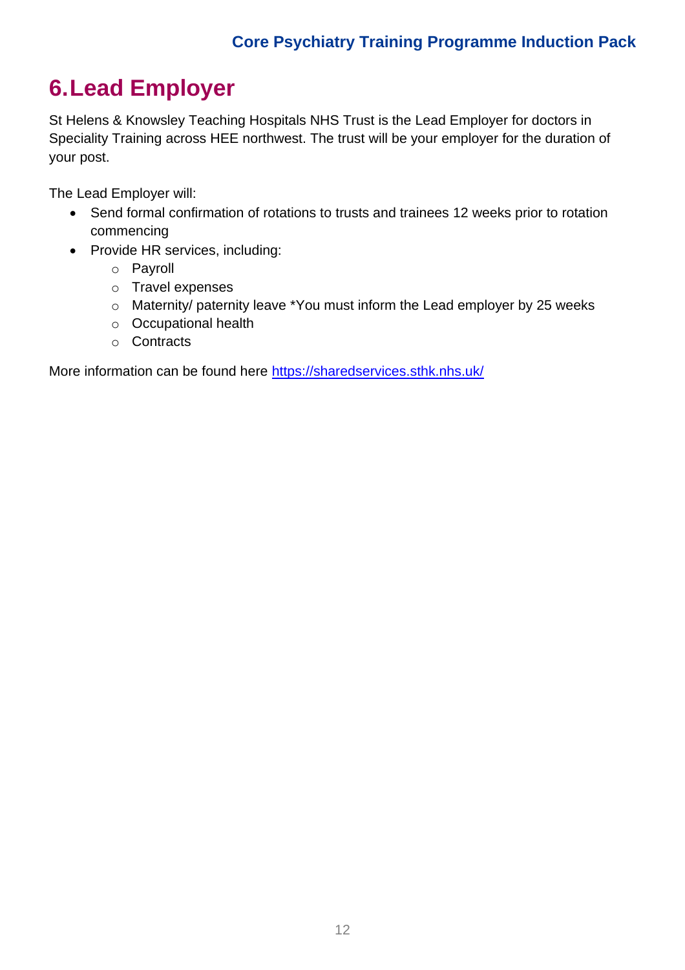# **6.Lead Employer**

St Helens & Knowsley Teaching Hospitals NHS Trust is the Lead Employer for doctors in Speciality Training across HEE northwest. The trust will be your employer for the duration of your post.

The Lead Employer will:

- Send formal confirmation of rotations to trusts and trainees 12 weeks prior to rotation commencing
- Provide HR services, including:
	- o Payroll
	- o Travel expenses
	- o Maternity/ paternity leave \*You must inform the Lead employer by 25 weeks
	- o Occupational health
	- o Contracts

More information can be found here<https://sharedservices.sthk.nhs.uk/>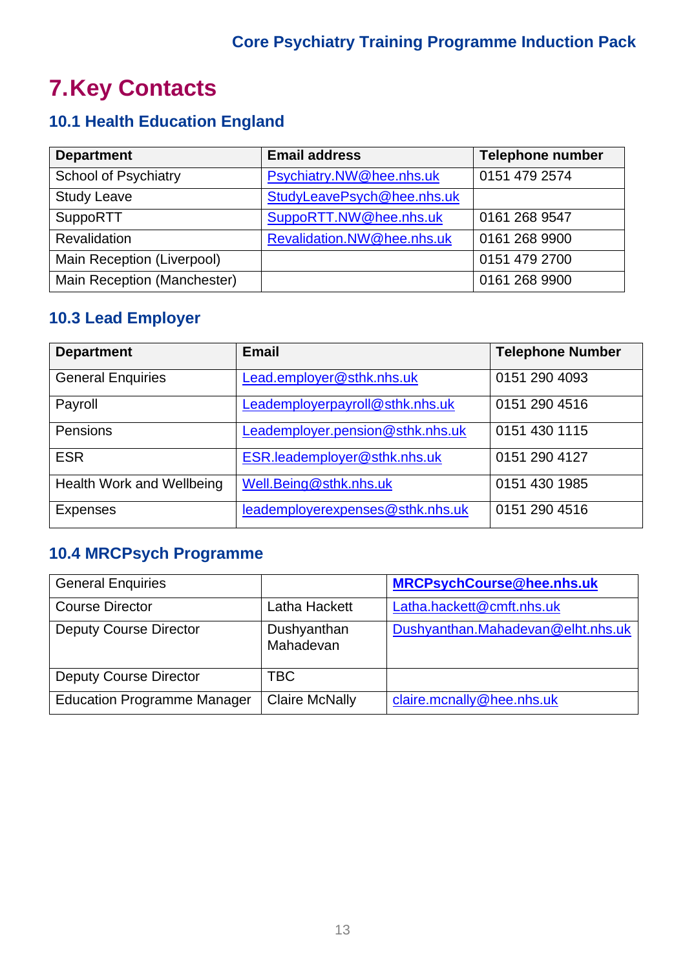# **7.Key Contacts**

# **10.1 Health Education England**

| <b>Department</b>           | <b>Email address</b>       | <b>Telephone number</b> |
|-----------------------------|----------------------------|-------------------------|
| <b>School of Psychiatry</b> | Psychiatry.NW@hee.nhs.uk   | 0151 479 2574           |
| <b>Study Leave</b>          | StudyLeavePsych@hee.nhs.uk |                         |
| <b>SuppoRTT</b>             | SuppoRTT.NW@hee.nhs.uk     | 0161 268 9547           |
| <b>Revalidation</b>         | Revalidation.NW@hee.nhs.uk | 0161 268 9900           |
| Main Reception (Liverpool)  |                            | 0151 479 2700           |
| Main Reception (Manchester) |                            | 0161 268 9900           |

# **10.3 Lead Employer**

| <b>Department</b>         | <b>Email</b>                     | <b>Telephone Number</b> |
|---------------------------|----------------------------------|-------------------------|
| <b>General Enquiries</b>  | Lead.employer@sthk.nhs.uk        | 0151 290 4093           |
| Payroll                   | Leademployerpayroll@sthk.nhs.uk  | 0151 290 4516           |
| Pensions                  | Leademployer.pension@sthk.nhs.uk | 0151 430 1115           |
| <b>ESR</b>                | ESR.leademployer@sthk.nhs.uk     | 0151 290 4127           |
| Health Work and Wellbeing | Well.Being@sthk.nhs.uk           | 0151 430 1985           |
| <b>Expenses</b>           | leademployerexpenses@sthk.nhs.uk | 0151 290 4516           |

# **10.4 MRCPsych Programme**

| <b>General Enquiries</b>           |                          | <b>MRCPsychCourse@hee.nhs.uk</b>  |
|------------------------------------|--------------------------|-----------------------------------|
| <b>Course Director</b>             | Latha Hackett            | Latha.hackett@cmft.nhs.uk         |
| <b>Deputy Course Director</b>      | Dushyanthan<br>Mahadevan | Dushyanthan.Mahadevan@elht.nhs.uk |
| <b>Deputy Course Director</b>      | TBC                      |                                   |
| <b>Education Programme Manager</b> | <b>Claire McNally</b>    | claire.mcnally@hee.nhs.uk         |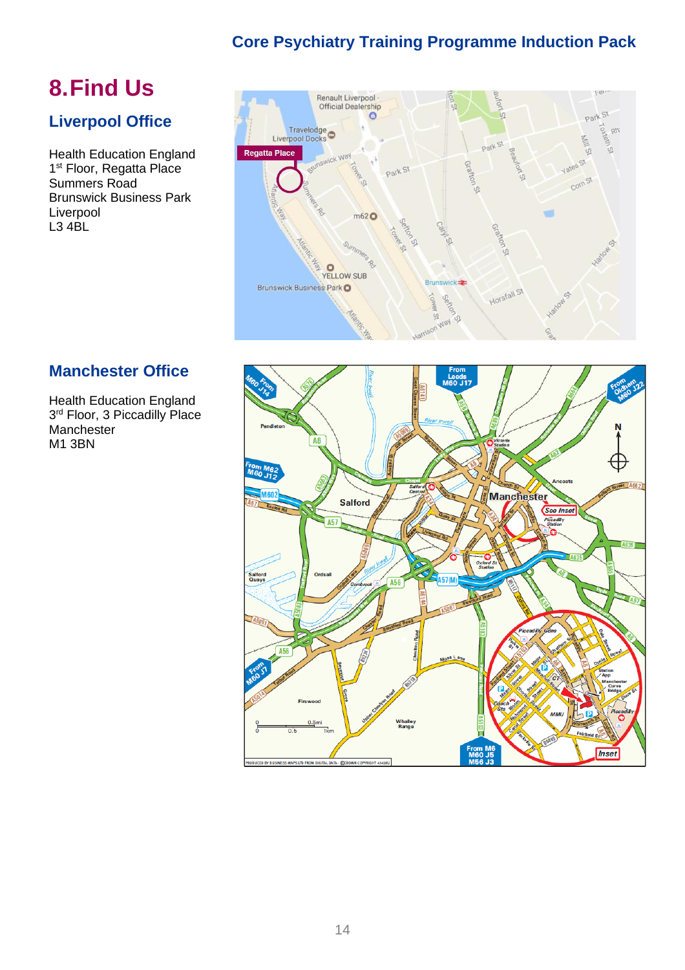# **8.Find Us**

## **Liverpool Office**

Health Education England 1<sup>st</sup> Floor, Regatta Place Summers Road Brunswick Business Park Liverpool L3 4BL



## **Manchester Office**

Health Education England 3 rd Floor, 3 Piccadilly Place Manchester M1 3BN